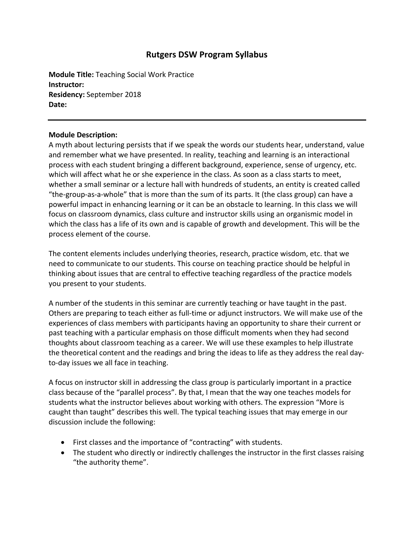# **Rutgers DSW Program Syllabus**

**Module Title:** Teaching Social Work Practice **Instructor: Residency:** September 2018 **Date:**

#### **Module Description:**

A myth about lecturing persists that if we speak the words our students hear, understand, value and remember what we have presented. In reality, teaching and learning is an interactional process with each student bringing a different background, experience, sense of urgency, etc. which will affect what he or she experience in the class. As soon as a class starts to meet, whether a small seminar or a lecture hall with hundreds of students, an entity is created called "the‐group‐as‐a‐whole" that is more than the sum of its parts. It (the class group) can have a powerful impact in enhancing learning or it can be an obstacle to learning. In this class we will focus on classroom dynamics, class culture and instructor skills using an organismic model in which the class has a life of its own and is capable of growth and development. This will be the process element of the course.

The content elements includes underlying theories, research, practice wisdom, etc. that we need to communicate to our students. This course on teaching practice should be helpful in thinking about issues that are central to effective teaching regardless of the practice models you present to your students.

A number of the students in this seminar are currently teaching or have taught in the past. Others are preparing to teach either as full‐time or adjunct instructors. We will make use of the experiences of class members with participants having an opportunity to share their current or past teaching with a particular emphasis on those difficult moments when they had second thoughts about classroom teaching as a career. We will use these examples to help illustrate the theoretical content and the readings and bring the ideas to life as they address the real day‐ to‐day issues we all face in teaching.

A focus on instructor skill in addressing the class group is particularly important in a practice class because of the "parallel process". By that, I mean that the way one teaches models for students what the instructor believes about working with others. The expression "More is caught than taught" describes this well. The typical teaching issues that may emerge in our discussion include the following:

- First classes and the importance of "contracting" with students.
- The student who directly or indirectly challenges the instructor in the first classes raising "the authority theme".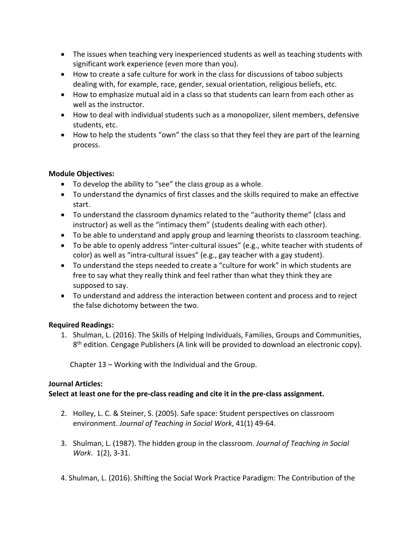- The issues when teaching very inexperienced students as well as teaching students with significant work experience (even more than you).
- How to create a safe culture for work in the class for discussions of taboo subjects dealing with, for example, race, gender, sexual orientation, religious beliefs, etc.
- How to emphasize mutual aid in a class so that students can learn from each other as well as the instructor.
- How to deal with individual students such as a monopolizer, silent members, defensive students, etc.
- How to help the students "own" the class so that they feel they are part of the learning process.

## **Module Objectives:**

- To develop the ability to "see" the class group as a whole.
- To understand the dynamics of first classes and the skills required to make an effective start.
- To understand the classroom dynamics related to the "authority theme" (class and instructor) as well as the "intimacy them" (students dealing with each other).
- To be able to understand and apply group and learning theorists to classroom teaching.
- To be able to openly address "inter‐cultural issues" (e.g., white teacher with students of color) as well as "intra‐cultural issues" (e.g., gay teacher with a gay student).
- To understand the steps needed to create a "culture for work" in which students are free to say what they really think and feel rather than what they think they are supposed to say.
- To understand and address the interaction between content and process and to reject the false dichotomy between the two.

### **Required Readings:**

1. Shulman, L. (2016). The Skills of Helping Individuals, Families, Groups and Communities,  $8<sup>th</sup>$  edition. Cengage Publishers (A link will be provided to download an electronic copy).

Chapter 13 – Working with the Individual and the Group.

### **Journal Articles:**

## **Select at least one for the pre‐class reading and cite it in the pre‐class assignment.**

- 2. Holley, L. C. & Steiner, S. (2005). Safe space: Student perspectives on classroom environment. *Journal of Teaching in Social Work*, 41(1) 49‐64.
- 3. Shulman, L. (1987). The hidden group in the classroom. *Journal of Teaching in Social Work*. 1(2), 3‐31.
- 4. Shulman, L. (2016). Shifting the Social Work Practice Paradigm: The Contribution of the